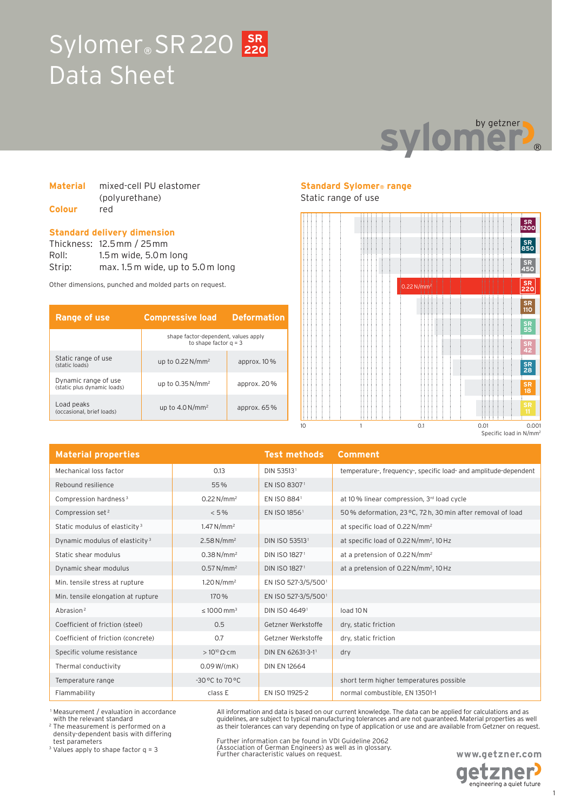### Sylomer<sup>®</sup> SR 220 220 Data Sheet **220**



| <b>Material</b> | mixed-cell PU elastomer |
|-----------------|-------------------------|
|                 | (polyurethane)          |
| <b>Colour</b>   | red                     |

#### **Standard delivery dimension**

Thickness: 12.5mm / 25mm Roll: 1.5m wide, 5.0m long Strip: max. 1.5 m wide, up to 5.0 m long

Other dimensions, punched and molded parts on request.

| Range of use                                        | <b>Compressive load</b>                                         | <b>Deformation</b> |
|-----------------------------------------------------|-----------------------------------------------------------------|--------------------|
|                                                     | shape factor-dependent, values apply<br>to shape factor $a = 3$ |                    |
| Static range of use<br>(static loads)               | up to $0.22$ N/mm <sup>2</sup>                                  | approx. $10\%$     |
| Dynamic range of use<br>(static plus dynamic loads) | up to $0.35$ N/mm <sup>2</sup>                                  | approx. 20%        |
| Load peaks<br>(occasional, brief loads)             | up to $4.0\,\mathrm{N/mm^2}$                                    | approx. $65\%$     |

#### **Standard Sylomer® range**

Static range of use



| <b>Material properties</b>                 |                             | <b>Test methods</b>       | Comment                                                          |
|--------------------------------------------|-----------------------------|---------------------------|------------------------------------------------------------------|
| Mechanical loss factor                     | 0.13                        | DIN 535131                | temperature-, frequency-, specific load- and amplitude-dependent |
| Rebound resilience                         | 55%                         | EN ISO 83071              |                                                                  |
| Compression hardness <sup>3</sup>          | $0.22 N/mm^2$               | EN ISO 8841               | at 10% linear compression, 3rd load cycle                        |
| Compression set <sup>2</sup>               | $< 5\%$                     | EN ISO 1856 <sup>1</sup>  | 50% deformation, 23 °C, 72 h, 30 min after removal of load       |
| Static modulus of elasticity <sup>3</sup>  | 1.47 N/mm <sup>2</sup>      |                           | at specific load of 0.22 N/mm <sup>2</sup>                       |
| Dynamic modulus of elasticity <sup>3</sup> | 2.58 N/mm <sup>2</sup>      | DIN ISO 535131            | at specific load of 0.22 N/mm <sup>2</sup> , 10 Hz               |
| Static shear modulus                       | 0.38 N/mm <sup>2</sup>      | DIN ISO 18271             | at a pretension of 0.22 N/mm <sup>2</sup>                        |
| Dynamic shear modulus                      | $0.57 N/mm^2$               | DIN ISO 1827 <sup>1</sup> | at a pretension of 0.22 N/mm <sup>2</sup> , 10 Hz                |
| Min. tensile stress at rupture             | $1,20 N/mm^2$               | EN ISO 527-3/5/5001       |                                                                  |
| Min. tensile elongation at rupture         | 170 %                       | EN ISO 527-3/5/5001       |                                                                  |
| Abrasion <sup>2</sup>                      | $\leq 1000$ mm <sup>3</sup> | DIN ISO 46491             | load 10N                                                         |
| Coefficient of friction (steel)            | 0.5                         | Getzner Werkstoffe        | dry, static friction                                             |
| Coefficient of friction (concrete)         | 0.7                         | Getzner Werkstoffe        | dry, static friction                                             |
| Specific volume resistance                 | $>10^{10} \Omega$ cm        | DIN EN 62631-3-11         | dry                                                              |
| Thermal conductivity                       | 0.09 W/(mK)                 | <b>DIN EN 12664</b>       |                                                                  |
| Temperature range                          | $-30$ °C to 70 °C           |                           | short term higher temperatures possible                          |
| Flammability                               | class E                     | EN ISO 11925-2            | normal combustible, EN 13501-1                                   |

 1 Measurement / evaluation in accordance with the relevant standard

2 The measurement is performed on a density-dependent basis with differing test parameters

3 Values apply to shape factor q = 3

Further information can be found in VDI Guideline 2062 (Association of German Engineers) as well as in glossary. Further characteristic values on request.

All information and data is based on our current knowledge. The data can be applied for calculations and as guidelines, are subject to typical manufacturing tolerances and are not guaranteed. Material properties as well as their tolerances can vary depending on type of application or use and are available from Getzner on request.

> **www.getzner.com etzner**

engineering a quiet future

1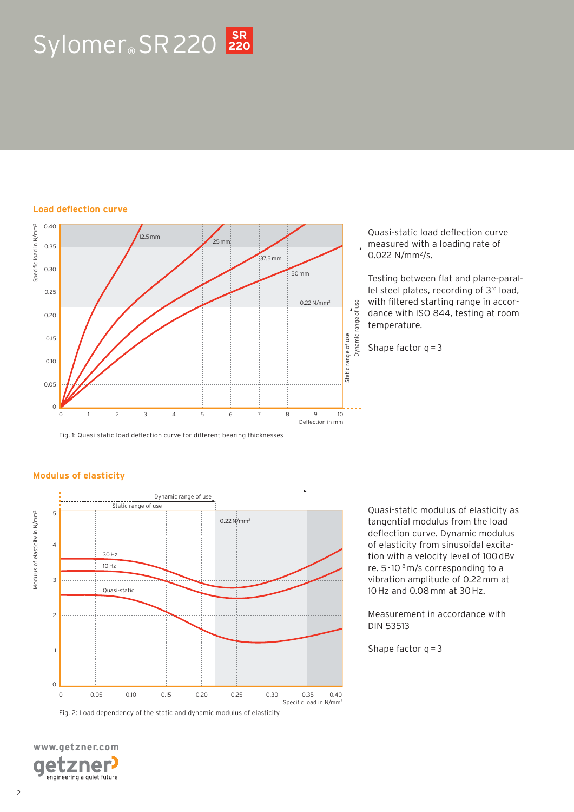## Sylomer<sup>®</sup> SR 220 220

#### **Load deflection curve**



Quasi-static load deflection curve measured with a loading rate of 0.022  $N/mm^2/s$ .

Testing between flat and plane-parallel steel plates, recording of 3rd load, with filtered starting range in accordance with ISO 844, testing at room temperature.

Shape factor  $q = 3$ 

Fig. 1: Quasi-static load deflection curve for different bearing thicknesses

#### **Modulus of elasticity**



Quasi-static modulus of elasticity as tangential modulus from the load deflection curve. Dynamic modulus of elasticity from sinusoidal excitation with a velocity level of 100 dBv re. 5 · 10-8 m/s corresponding to a vibration amplitude of 0.22 mm at 10 Hz and 0.08 mm at 30 Hz.

Measurement in accordance with DIN 53513

Shape factor  $q = 3$ 

**www.getzner.com**  zner engineering a quiet future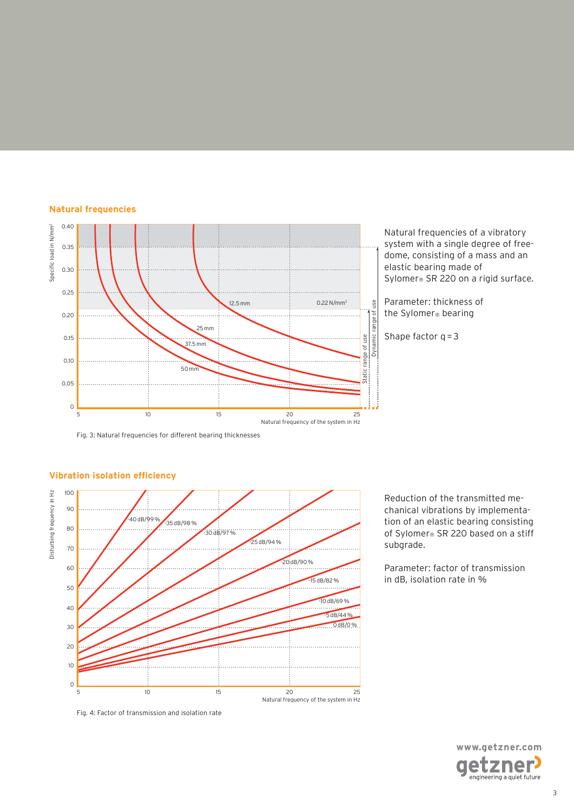



Fig. 3: Natural frequencies for different bearing thicknesses



#### **Vibration isolation efficiency**

Reduction of the transmitted mechanical vibrations by implementation of an elastic bearing consisting of Sylomer<sup>®</sup> SR 220 based on a stiff subgrade.

Parameter: factor of transmission in dB, isolation rate in %